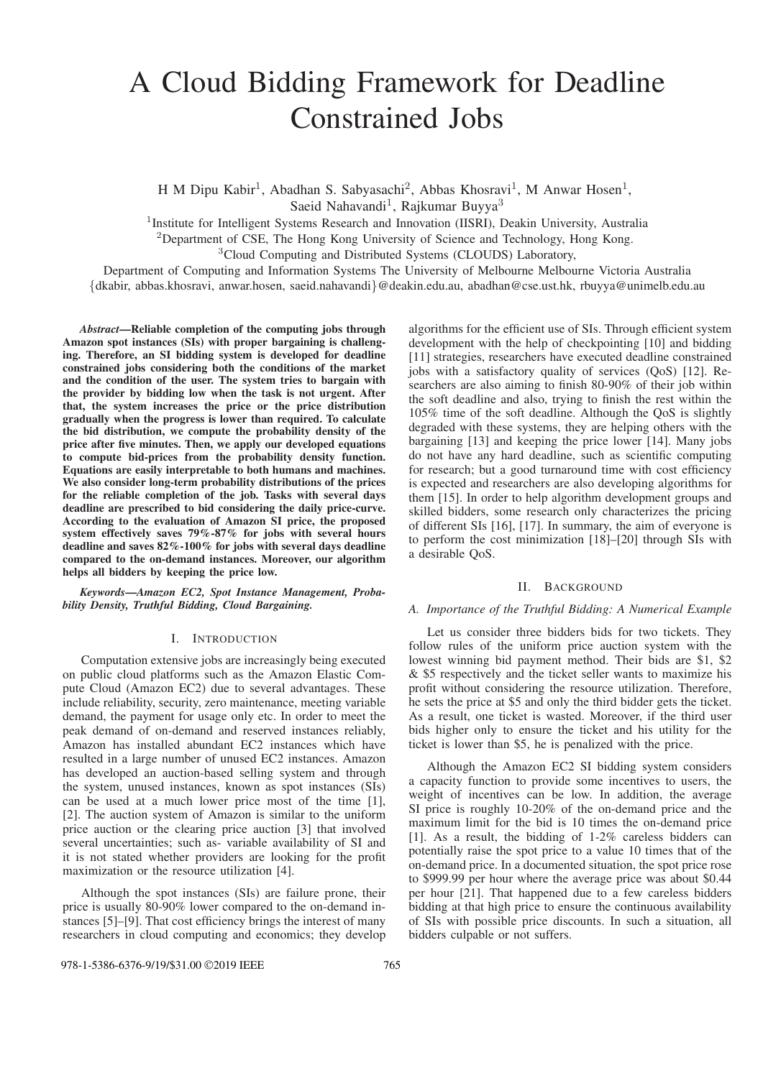# A Cloud Bidding Framework for Deadline Constrained Jobs

H M Dipu Kabir<sup>1</sup>, Abadhan S. Sabyasachi<sup>2</sup>, Abbas Khosravi<sup>1</sup>, M Anwar Hosen<sup>1</sup>, Saeid Nahavandi<sup>1</sup>, Rajkumar Buyya<sup>3</sup>

<sup>1</sup>Institute for Intelligent Systems Research and Innovation (IISRI), Deakin University, Australia

<sup>2</sup>Department of CSE, The Hong Kong University of Science and Technology, Hong Kong.

<sup>3</sup>Cloud Computing and Distributed Systems (CLOUDS) Laboratory,

Department of Computing and Information Systems The University of Melbourne Melbourne Victoria Australia

{dkabir, abbas.khosravi, anwar.hosen, saeid.nahavandi}@deakin.edu.au, abadhan@cse.ust.hk, rbuyya@unimelb.edu.au

*Abstract*—Reliable completion of the computing jobs through Amazon spot instances (SIs) with proper bargaining is challenging. Therefore, an SI bidding system is developed for deadline constrained jobs considering both the conditions of the market and the condition of the user. The system tries to bargain with the provider by bidding low when the task is not urgent. After that, the system increases the price or the price distribution gradually when the progress is lower than required. To calculate the bid distribution, we compute the probability density of the price after five minutes. Then, we apply our developed equations to compute bid-prices from the probability density function. Equations are easily interpretable to both humans and machines. We also consider long-term probability distributions of the prices for the reliable completion of the job. Tasks with several days deadline are prescribed to bid considering the daily price-curve. According to the evaluation of Amazon SI price, the proposed system effectively saves 79%-87% for jobs with several hours deadline and saves 82%-100% for jobs with several days deadline compared to the on-demand instances. Moreover, our algorithm helps all bidders by keeping the price low.

*Keywords*—*Amazon EC2, Spot Instance Management, Probability Density, Truthful Bidding, Cloud Bargaining.*

## I. INTRODUCTION

Computation extensive jobs are increasingly being executed on public cloud platforms such as the Amazon Elastic Compute Cloud (Amazon EC2) due to several advantages. These include reliability, security, zero maintenance, meeting variable demand, the payment for usage only etc. In order to meet the peak demand of on-demand and reserved instances reliably, Amazon has installed abundant EC2 instances which have resulted in a large number of unused EC2 instances. Amazon has developed an auction-based selling system and through the system, unused instances, known as spot instances (SIs) can be used at a much lower price most of the time [1], [2]. The auction system of Amazon is similar to the uniform price auction or the clearing price auction [3] that involved several uncertainties; such as- variable availability of SI and it is not stated whether providers are looking for the profit maximization or the resource utilization [4].

Although the spot instances (SIs) are failure prone, their price is usually 80-90% lower compared to the on-demand instances [5]–[9]. That cost efficiency brings the interest of many researchers in cloud computing and economics; they develop

algorithms for the efficient use of SIs. Through efficient system development with the help of checkpointing [10] and bidding [11] strategies, researchers have executed deadline constrained jobs with a satisfactory quality of services (QoS) [12]. Researchers are also aiming to finish 80-90% of their job within the soft deadline and also, trying to finish the rest within the 105% time of the soft deadline. Although the QoS is slightly degraded with these systems, they are helping others with the bargaining [13] and keeping the price lower [14]. Many jobs do not have any hard deadline, such as scientific computing for research; but a good turnaround time with cost efficiency is expected and researchers are also developing algorithms for them [15]. In order to help algorithm development groups and skilled bidders, some research only characterizes the pricing of different SIs [16], [17]. In summary, the aim of everyone is to perform the cost minimization [18]–[20] through SIs with a desirable QoS.

#### II. BACKGROUND

# *A. Importance of the Truthful Bidding: A Numerical Example*

Let us consider three bidders bids for two tickets. They follow rules of the uniform price auction system with the lowest winning bid payment method. Their bids are \$1, \$2 & \$5 respectively and the ticket seller wants to maximize his profit without considering the resource utilization. Therefore, he sets the price at \$5 and only the third bidder gets the ticket. As a result, one ticket is wasted. Moreover, if the third user bids higher only to ensure the ticket and his utility for the ticket is lower than \$5, he is penalized with the price.

Although the Amazon EC2 SI bidding system considers a capacity function to provide some incentives to users, the weight of incentives can be low. In addition, the average SI price is roughly 10-20% of the on-demand price and the maximum limit for the bid is 10 times the on-demand price [1]. As a result, the bidding of 1-2% careless bidders can potentially raise the spot price to a value 10 times that of the on-demand price. In a documented situation, the spot price rose to \$999.99 per hour where the average price was about \$0.44 per hour [21]. That happened due to a few careless bidders bidding at that high price to ensure the continuous availability of SIs with possible price discounts. In such a situation, all bidders culpable or not suffers.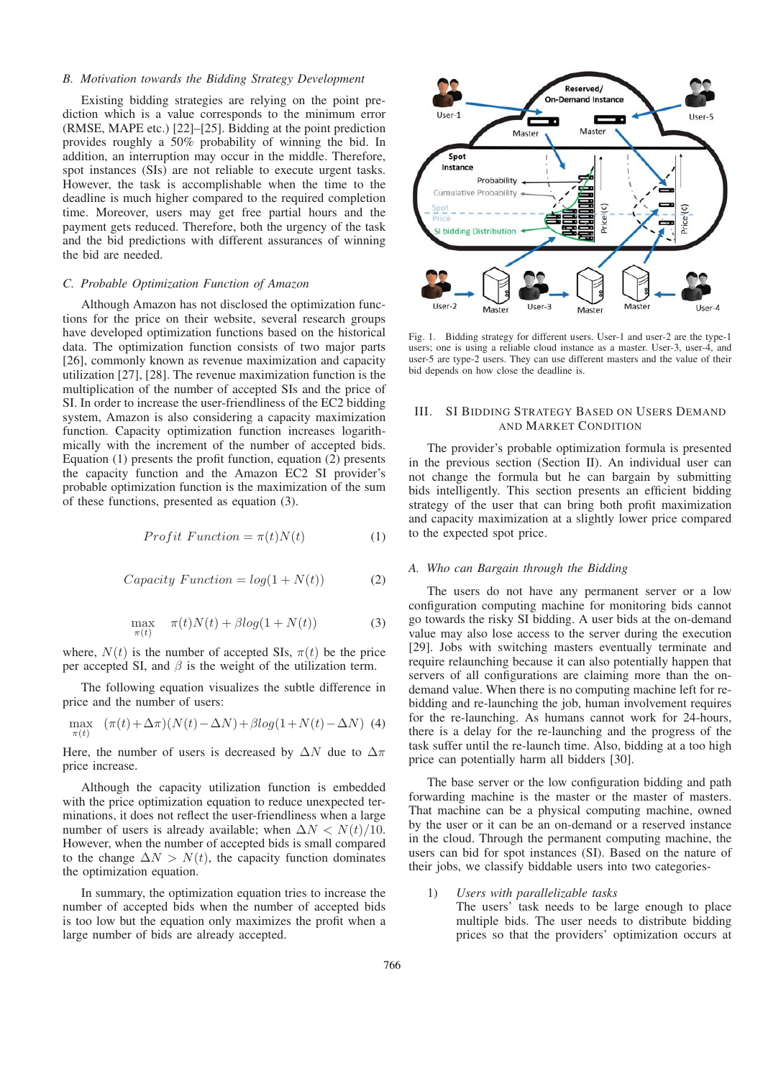## *B. Motivation towards the Bidding Strategy Development*

Existing bidding strategies are relying on the point prediction which is a value corresponds to the minimum error (RMSE, MAPE etc.) [22]–[25]. Bidding at the point prediction provides roughly a 50% probability of winning the bid. In addition, an interruption may occur in the middle. Therefore, spot instances (SIs) are not reliable to execute urgent tasks. However, the task is accomplishable when the time to the deadline is much higher compared to the required completion time. Moreover, users may get free partial hours and the payment gets reduced. Therefore, both the urgency of the task and the bid predictions with different assurances of winning the bid are needed.

## *C. Probable Optimization Function of Amazon*

Although Amazon has not disclosed the optimization functions for the price on their website, several research groups have developed optimization functions based on the historical data. The optimization function consists of two major parts [26], commonly known as revenue maximization and capacity utilization [27], [28]. The revenue maximization function is the multiplication of the number of accepted SIs and the price of SI. In order to increase the user-friendliness of the EC2 bidding system, Amazon is also considering a capacity maximization function. Capacity optimization function increases logarithmically with the increment of the number of accepted bids. Equation (1) presents the profit function, equation (2) presents the capacity function and the Amazon EC2 SI provider's probable optimization function is the maximization of the sum of these functions, presented as equation (3).

$$
Profit\ Function = \pi(t)N(t) \tag{1}
$$

$$
Capacity Function = log(1 + N(t))
$$
 (2)

$$
\max_{\pi(t)} \quad \pi(t)N(t) + \beta \log(1 + N(t)) \tag{3}
$$

where,  $N(t)$  is the number of accepted SIs,  $\pi(t)$  be the price per accepted SI, and  $\beta$  is the weight of the utilization term.

The following equation visualizes the subtle difference in price and the number of users:

$$
\max_{\pi(t)} \quad (\pi(t) + \Delta \pi)(N(t) - \Delta N) + \beta \log(1 + N(t) - \Delta N) \tag{4}
$$

Here, the number of users is decreased by  $\Delta N$  due to  $\Delta \pi$ price increase.

Although the capacity utilization function is embedded with the price optimization equation to reduce unexpected terminations, it does not reflect the user-friendliness when a large number of users is already available; when  $\Delta N < N(t)/10$ . However, when the number of accepted bids is small compared to the change  $\Delta N > N(t)$ , the capacity function dominates the optimization equation.

In summary, the optimization equation tries to increase the number of accepted bids when the number of accepted bids is too low but the equation only maximizes the profit when a large number of bids are already accepted.



Fig. 1. Bidding strategy for different users. User-1 and user-2 are the type-1 users; one is using a reliable cloud instance as a master. User-3, user-4, and user-5 are type-2 users. They can use different masters and the value of their bid depends on how close the deadline is.

# III. SI BIDDING STRATEGY BASED ON USERS DEMAND AND MARKET CONDITION

The provider's probable optimization formula is presented in the previous section (Section II). An individual user can not change the formula but he can bargain by submitting bids intelligently. This section presents an efficient bidding strategy of the user that can bring both profit maximization and capacity maximization at a slightly lower price compared to the expected spot price.

## *A. Who can Bargain through the Bidding*

The users do not have any permanent server or a low configuration computing machine for monitoring bids cannot go towards the risky SI bidding. A user bids at the on-demand value may also lose access to the server during the execution [29]. Jobs with switching masters eventually terminate and require relaunching because it can also potentially happen that servers of all configurations are claiming more than the ondemand value. When there is no computing machine left for rebidding and re-launching the job, human involvement requires for the re-launching. As humans cannot work for 24-hours, there is a delay for the re-launching and the progress of the task suffer until the re-launch time. Also, bidding at a too high price can potentially harm all bidders [30].

The base server or the low configuration bidding and path forwarding machine is the master or the master of masters. That machine can be a physical computing machine, owned by the user or it can be an on-demand or a reserved instance in the cloud. Through the permanent computing machine, the users can bid for spot instances (SI). Based on the nature of their jobs, we classify biddable users into two categories-

# 1) *Users with parallelizable tasks*

The users' task needs to be large enough to place multiple bids. The user needs to distribute bidding prices so that the providers' optimization occurs at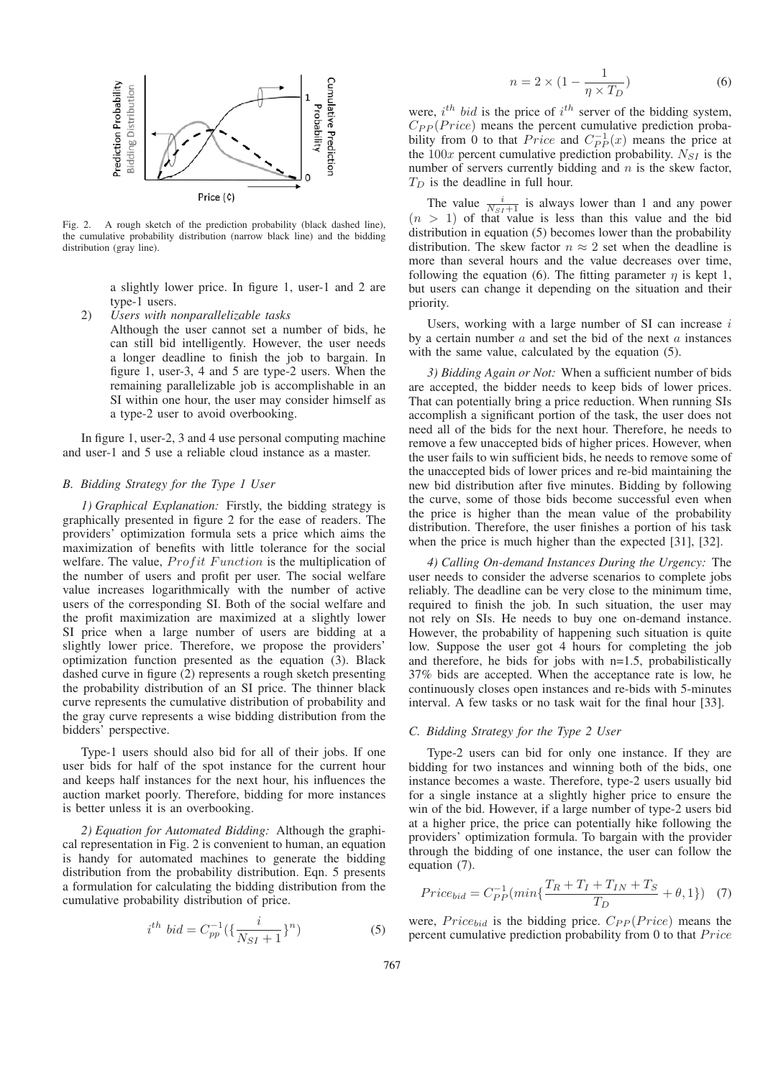

Fig. 2. A rough sketch of the prediction probability (black dashed line), the cumulative probability distribution (narrow black line) and the bidding distribution (gray line).

a slightly lower price. In figure 1, user-1 and 2 are type-1 users.

2) *Users with nonparallelizable tasks*

Although the user cannot set a number of bids, he can still bid intelligently. However, the user needs a longer deadline to finish the job to bargain. In figure 1, user-3, 4 and 5 are type-2 users. When the remaining parallelizable job is accomplishable in an SI within one hour, the user may consider himself as a type-2 user to avoid overbooking.

In figure 1, user-2, 3 and 4 use personal computing machine and user-1 and 5 use a reliable cloud instance as a master.

## *B. Bidding Strategy for the Type 1 User*

*1) Graphical Explanation:* Firstly, the bidding strategy is graphically presented in figure 2 for the ease of readers. The providers' optimization formula sets a price which aims the maximization of benefits with little tolerance for the social welfare. The value,  $Profit\ Function$  is the multiplication of the number of users and profit per user. The social welfare value increases logarithmically with the number of active users of the corresponding SI. Both of the social welfare and the profit maximization are maximized at a slightly lower SI price when a large number of users are bidding at a slightly lower price. Therefore, we propose the providers' optimization function presented as the equation (3). Black dashed curve in figure (2) represents a rough sketch presenting the probability distribution of an SI price. The thinner black curve represents the cumulative distribution of probability and the gray curve represents a wise bidding distribution from the bidders' perspective.

Type-1 users should also bid for all of their jobs. If one user bids for half of the spot instance for the current hour and keeps half instances for the next hour, his influences the auction market poorly. Therefore, bidding for more instances is better unless it is an overbooking.

*2) Equation for Automated Bidding:* Although the graphical representation in Fig. 2 is convenient to human, an equation is handy for automated machines to generate the bidding distribution from the probability distribution. Eqn. 5 presents a formulation for calculating the bidding distribution from the cumulative probability distribution of price.

$$
i^{th} bid = C_{pp}^{-1} \left( \{ \frac{i}{N_{SI} + 1} \}^n \right) \tag{5}
$$

$$
n = 2 \times \left(1 - \frac{1}{\eta \times T_D}\right) \tag{6}
$$

were,  $i^{th}$  bid is the price of  $i^{th}$  server of the bidding system,  $C_{PP}(Price)$  means the percent cumulative prediction probability from 0 to that *Price* and  $C_{PP}^{-1}(x)$  means the price at the  $100x$  percent cumulative prediction probability.  $N_{SI}$  is the number of servers currently bidding and  $n$  is the skew factor,  $T_D$  is the deadline in full hour.

The value  $\frac{i}{N_{SI}+1}$  is always lower than 1 and any power  $(n > 1)$  of that value is less than this value and the bid distribution in equation (5) becomes lower than the probability distribution. The skew factor  $n \approx 2$  set when the deadline is more than several hours and the value decreases over time, following the equation (6). The fitting parameter  $\eta$  is kept 1, but users can change it depending on the situation and their priority.

Users, working with a large number of SI can increase  $i$ by a certain number  $a$  and set the bid of the next  $a$  instances with the same value, calculated by the equation (5).

*3) Bidding Again or Not:* When a sufficient number of bids are accepted, the bidder needs to keep bids of lower prices. That can potentially bring a price reduction. When running SIs accomplish a significant portion of the task, the user does not need all of the bids for the next hour. Therefore, he needs to remove a few unaccepted bids of higher prices. However, when the user fails to win sufficient bids, he needs to remove some of the unaccepted bids of lower prices and re-bid maintaining the new bid distribution after five minutes. Bidding by following the curve, some of those bids become successful even when the price is higher than the mean value of the probability distribution. Therefore, the user finishes a portion of his task when the price is much higher than the expected [31], [32].

*4) Calling On-demand Instances During the Urgency:* The user needs to consider the adverse scenarios to complete jobs reliably. The deadline can be very close to the minimum time, required to finish the job. In such situation, the user may not rely on SIs. He needs to buy one on-demand instance. However, the probability of happening such situation is quite low. Suppose the user got 4 hours for completing the job and therefore, he bids for jobs with n=1.5, probabilistically 37% bids are accepted. When the acceptance rate is low, he continuously closes open instances and re-bids with 5-minutes interval. A few tasks or no task wait for the final hour [33].

#### *C. Bidding Strategy for the Type 2 User*

Type-2 users can bid for only one instance. If they are bidding for two instances and winning both of the bids, one instance becomes a waste. Therefore, type-2 users usually bid for a single instance at a slightly higher price to ensure the win of the bid. However, if a large number of type-2 users bid at a higher price, the price can potentially hike following the providers' optimization formula. To bargain with the provider through the bidding of one instance, the user can follow the equation (7).

$$
Price_{bid} = C_{PP}^{-1}(min\{\frac{T_R + T_I + T_{IN} + T_S}{T_D} + \theta, 1\})
$$
 (7)

were,  $Price_{bid}$  is the bidding price.  $C_{PP}(Price)$  means the percent cumulative prediction probability from  $0$  to that  $Price$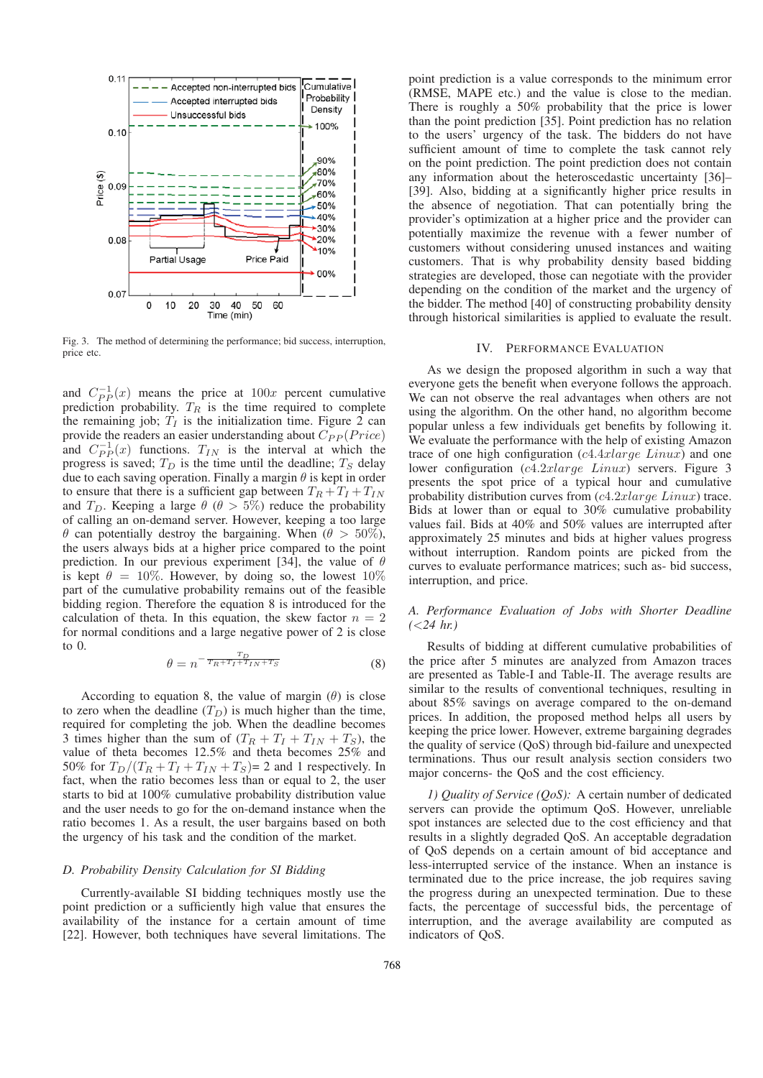

Fig. 3. The method of determining the performance; bid success, interruption, price etc.

and  $C_{PP}^{-1}(x)$  means the price at  $100x$  percent cumulative prediction probability.  $T_R$  is the time required to complete the remaining job;  $T_I$  is the initialization time. Figure 2 can provide the readers an easier understanding about  $C_{PP}(Price)$ and  $C_{PP}^{-1}(x)$  functions.  $T_{IN}$  is the interval at which the progress is saved;  $T_D$  is the time until the deadline;  $T_S$  delay due to each saving operation. Finally a margin  $\theta$  is kept in order to ensure that there is a sufficient gap between  $T_R + T_I + T_{IN}$ and  $T_D$ . Keeping a large  $\theta$  ( $\theta > 5\%$ ) reduce the probability of calling an on-demand server. However, keeping a too large  $\theta$  can potentially destroy the bargaining. When ( $\theta > 50\%$ ), the users always bids at a higher price compared to the point prediction. In our previous experiment [34], the value of  $\theta$ is kept  $\theta = 10\%$ . However, by doing so, the lowest  $10\%$ part of the cumulative probability remains out of the feasible bidding region. Therefore the equation 8 is introduced for the calculation of theta. In this equation, the skew factor  $n = 2$ for normal conditions and a large negative power of 2 is close to 0.

$$
\theta = n^{-\frac{T_D}{T_R + T_I + T_{IN} + T_S}} \tag{8}
$$

According to equation 8, the value of margin  $(\theta)$  is close to zero when the deadline  $(T_D)$  is much higher than the time, required for completing the job. When the deadline becomes 3 times higher than the sum of  $(T_R + T_I + T_{IN} + T_S)$ , the value of theta becomes 12.5% and theta becomes 25% and 50% for  $T_D/(T_R + T_I + T_{IN} + T_S) = 2$  and 1 respectively. In fact, when the ratio becomes less than or equal to 2, the user starts to bid at 100% cumulative probability distribution value and the user needs to go for the on-demand instance when the ratio becomes 1. As a result, the user bargains based on both the urgency of his task and the condition of the market.

## *D. Probability Density Calculation for SI Bidding*

Currently-available SI bidding techniques mostly use the point prediction or a sufficiently high value that ensures the availability of the instance for a certain amount of time [22]. However, both techniques have several limitations. The

point prediction is a value corresponds to the minimum error (RMSE, MAPE etc.) and the value is close to the median. There is roughly a 50% probability that the price is lower than the point prediction [35]. Point prediction has no relation to the users' urgency of the task. The bidders do not have sufficient amount of time to complete the task cannot rely on the point prediction. The point prediction does not contain any information about the heteroscedastic uncertainty [36]– [39]. Also, bidding at a significantly higher price results in the absence of negotiation. That can potentially bring the provider's optimization at a higher price and the provider can potentially maximize the revenue with a fewer number of customers without considering unused instances and waiting customers. That is why probability density based bidding strategies are developed, those can negotiate with the provider depending on the condition of the market and the urgency of the bidder. The method [40] of constructing probability density through historical similarities is applied to evaluate the result.

## IV. PERFORMANCE EVALUATION

As we design the proposed algorithm in such a way that everyone gets the benefit when everyone follows the approach. We can not observe the real advantages when others are not using the algorithm. On the other hand, no algorithm become popular unless a few individuals get benefits by following it. We evaluate the performance with the help of existing Amazon trace of one high configuration  $(c4.4xlarge \ Linux)$  and one lower configuration (c4.2xlarge Linux) servers. Figure 3 presents the spot price of a typical hour and cumulative probability distribution curves from (c4.2xlarge Linux) trace. Bids at lower than or equal to 30% cumulative probability values fail. Bids at 40% and 50% values are interrupted after approximately 25 minutes and bids at higher values progress without interruption. Random points are picked from the curves to evaluate performance matrices; such as- bid success, interruption, and price.

# *A. Performance Evaluation of Jobs with Shorter Deadline (*<*24 hr.)*

Results of bidding at different cumulative probabilities of the price after 5 minutes are analyzed from Amazon traces are presented as Table-I and Table-II. The average results are similar to the results of conventional techniques, resulting in about 85% savings on average compared to the on-demand prices. In addition, the proposed method helps all users by keeping the price lower. However, extreme bargaining degrades the quality of service (QoS) through bid-failure and unexpected terminations. Thus our result analysis section considers two major concerns- the QoS and the cost efficiency.

*1) Quality of Service (QoS):* A certain number of dedicated servers can provide the optimum QoS. However, unreliable spot instances are selected due to the cost efficiency and that results in a slightly degraded QoS. An acceptable degradation of QoS depends on a certain amount of bid acceptance and less-interrupted service of the instance. When an instance is terminated due to the price increase, the job requires saving the progress during an unexpected termination. Due to these facts, the percentage of successful bids, the percentage of interruption, and the average availability are computed as indicators of QoS.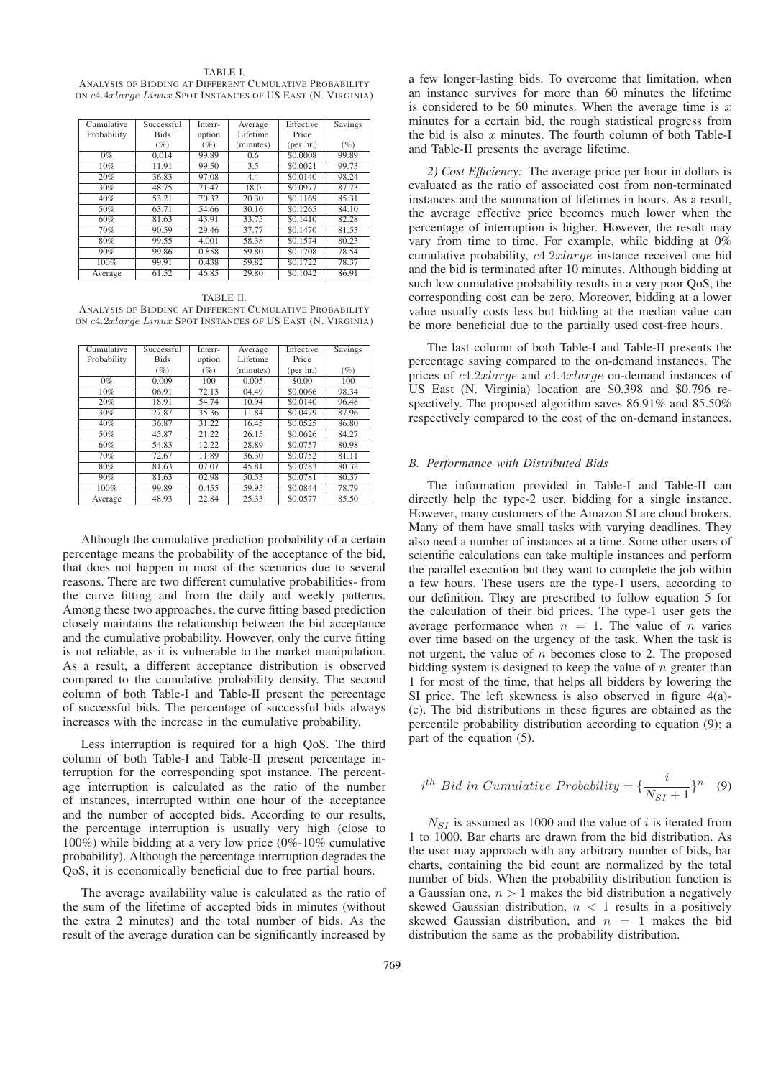TABLE I. ANALYSIS OF BIDDING AT DIFFERENT CUMULATIVE PROBABILITY ON c4.4xlarge Linux SPOT INSTANCES OF US EAST (N. VIRGINIA)

| Cumulative  | Successful  | Interr-            | Average   | Effective          | <b>Savings</b> |
|-------------|-------------|--------------------|-----------|--------------------|----------------|
| Probability | <b>Bids</b> | uption             | Lifetime  | Price              |                |
|             | $(\%)$      | $(\%)$             | (minutes) | $(\text{per hr.})$ | $(\%)$         |
| $0\%$       | 0.014       | 99.89              | 0.6       | \$0,0008           | 99.89          |
| 10%         | 11.91       | 99.50              | 3.5       | \$0.0021           | 99.73          |
| 20%         | 36.83       | 97.08              | 4.4       | \$0.0140           | 98.24          |
| 30%         | 48.75       | 71.47              | 18.0      | \$0.0977           | 87.73          |
| 40%         | 53.21       | 70.32              | 20.30     | \$0.1169           | 85.31          |
| 50%         | 63.71       | 54.66              | 30.16     | \$0.1265           | 84.10          |
| 60%         | 81.63       | 43.91              | 33.75     | \$0.1410           | 82.28          |
| 70%         | 90.59       | $\overline{29.46}$ | 37.77     | \$0.1470           | 81.53          |
| 80%         | 99.55       | 4.001              | 58.38     | \$0.1574           | 80.23          |
| 90%         | 99.86       | 0.858              | 59.80     | \$0.1708           | 78.54          |
| 100%        | 99.91       | 0.438              | 59.82     | \$0.1722           | 78.37          |
| Average     | 61.52       | 46.85              | 29.80     | \$0.1042           | 86.91          |

TABLE II. ANALYSIS OF BIDDING AT DIFFERENT CUMULATIVE PROBABILITY ON c4.2xlarge Linux SPOT INSTANCES OF US EAST (N. VIRGINIA)

| Cumulative  | Successful  | Interr- | Average   | Effective          | <b>Savings</b> |
|-------------|-------------|---------|-----------|--------------------|----------------|
| Probability | <b>Bids</b> | uption  | Lifetime  | Price              |                |
|             | $(\%)$      | $(\%)$  | (minutes) | ${\rm (per\ hr.)}$ | $(\%)$         |
| $0\%$       | 0.009       | 100     | 0.005     | \$0.00             | 100            |
| 10%         | 06.91       | 72.13   | 04.49     | \$0,0066           | 98.34          |
| 20%         | 18.91       | 54.74   | 10.94     | \$0.0140           | 96.48          |
| 30%         | 27.87       | 35.36   | 11.84     | \$0.0479           | 87.96          |
| 40%         | 36.87       | 31.22   | 16.45     | \$0.0525           | 86.80          |
| 50%         | 45.87       | 21.22   | 26.15     | \$0.0626           | 84.27          |
| 60%         | 54.83       | 12.22   | 28.89     | \$0.0757           | 80.98          |
| 70%         | 72.67       | 11.89   | 36.30     | \$0.0752           | 81.11          |
| 80%         | 81.63       | 07.07   | 45.81     | \$0.0783           | 80.32          |
| 90%         | 81.63       | 02.98   | 50.53     | \$0.0781           | 80.37          |
| 100%        | 99.89       | 0.455   | 59.95     | \$0.0844           | 78.79          |
| Average     | 48.93       | 22.84   | 25.33     | \$0.0577           | 85.50          |

Although the cumulative prediction probability of a certain percentage means the probability of the acceptance of the bid, that does not happen in most of the scenarios due to several reasons. There are two different cumulative probabilities- from the curve fitting and from the daily and weekly patterns. Among these two approaches, the curve fitting based prediction closely maintains the relationship between the bid acceptance and the cumulative probability. However, only the curve fitting is not reliable, as it is vulnerable to the market manipulation. As a result, a different acceptance distribution is observed compared to the cumulative probability density. The second column of both Table-I and Table-II present the percentage of successful bids. The percentage of successful bids always increases with the increase in the cumulative probability.

Less interruption is required for a high QoS. The third column of both Table-I and Table-II present percentage interruption for the corresponding spot instance. The percentage interruption is calculated as the ratio of the number of instances, interrupted within one hour of the acceptance and the number of accepted bids. According to our results, the percentage interruption is usually very high (close to 100%) while bidding at a very low price (0%-10% cumulative probability). Although the percentage interruption degrades the QoS, it is economically beneficial due to free partial hours.

The average availability value is calculated as the ratio of the sum of the lifetime of accepted bids in minutes (without the extra 2 minutes) and the total number of bids. As the result of the average duration can be significantly increased by

a few longer-lasting bids. To overcome that limitation, when an instance survives for more than 60 minutes the lifetime is considered to be 60 minutes. When the average time is  $x$ minutes for a certain bid, the rough statistical progress from the bid is also  $x$  minutes. The fourth column of both Table-I and Table-II presents the average lifetime.

*2) Cost Efficiency:* The average price per hour in dollars is evaluated as the ratio of associated cost from non-terminated instances and the summation of lifetimes in hours. As a result, the average effective price becomes much lower when the percentage of interruption is higher. However, the result may vary from time to time. For example, while bidding at 0% cumulative probability, c4.2xlarge instance received one bid and the bid is terminated after 10 minutes. Although bidding at such low cumulative probability results in a very poor QoS, the corresponding cost can be zero. Moreover, bidding at a lower value usually costs less but bidding at the median value can be more beneficial due to the partially used cost-free hours.

The last column of both Table-I and Table-II presents the percentage saving compared to the on-demand instances. The prices of c4.2xlarge and c4.4xlarge on-demand instances of US East (N. Virginia) location are \$0.398 and \$0.796 respectively. The proposed algorithm saves 86.91% and 85.50% respectively compared to the cost of the on-demand instances.

### *B. Performance with Distributed Bids*

The information provided in Table-I and Table-II can directly help the type-2 user, bidding for a single instance. However, many customers of the Amazon SI are cloud brokers. Many of them have small tasks with varying deadlines. They also need a number of instances at a time. Some other users of scientific calculations can take multiple instances and perform the parallel execution but they want to complete the job within a few hours. These users are the type-1 users, according to our definition. They are prescribed to follow equation 5 for the calculation of their bid prices. The type-1 user gets the average performance when  $n = 1$ . The value of n varies over time based on the urgency of the task. When the task is not urgent, the value of  $n$  becomes close to 2. The proposed bidding system is designed to keep the value of  $n$  greater than 1 for most of the time, that helps all bidders by lowering the SI price. The left skewness is also observed in figure 4(a)- (c). The bid distributions in these figures are obtained as the percentile probability distribution according to equation (9); a part of the equation (5).

$$
i^{th}
$$
 Bid in Cumulative Probability =  $\left\{\frac{i}{N_{SI}+1}\right\}^n$  (9)

 $N_{SI}$  is assumed as 1000 and the value of i is iterated from 1 to 1000. Bar charts are drawn from the bid distribution. As the user may approach with any arbitrary number of bids, bar charts, containing the bid count are normalized by the total number of bids. When the probability distribution function is a Gaussian one,  $n > 1$  makes the bid distribution a negatively skewed Gaussian distribution,  $n < 1$  results in a positively skewed Gaussian distribution, and  $n = 1$  makes the bid distribution the same as the probability distribution.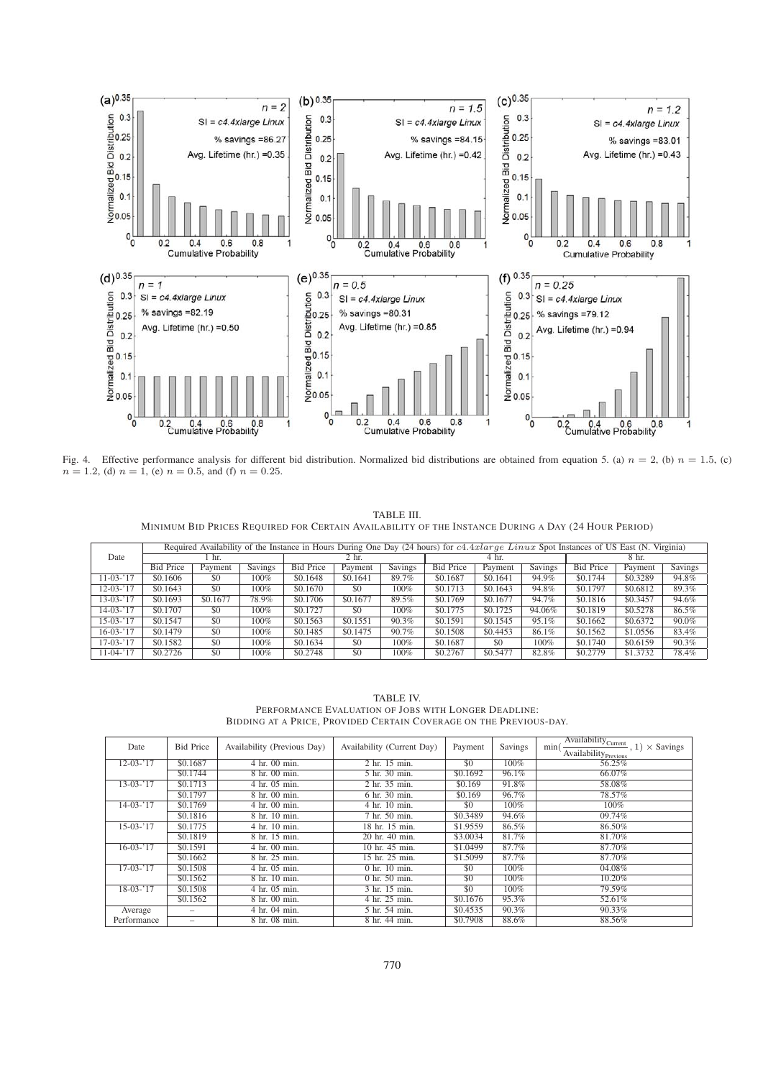

Fig. 4. Effective performance analysis for different bid distribution. Normalized bid distributions are obtained from equation 5. (a)  $n = 2$ , (b)  $n = 1.5$ , (c)  $n = 1.2$ , (d)  $n = 1$ , (e)  $n = 0.5$ , and (f)  $n = 0.25$ .

TABLE III. MINIMUM BID PRICES REQUIRED FOR CERTAIN AVAILABILITY OF THE INSTANCE DURING A DAY (24 HOUR PERIOD)

| Required Availability of the Instance in Hours During One Day (24 hours) for c4.4xlarge Linux Spot Instances of US East (N. Virginia) |                  |          |                |                  |          |                |                  |          |                |                  |          |                |
|---------------------------------------------------------------------------------------------------------------------------------------|------------------|----------|----------------|------------------|----------|----------------|------------------|----------|----------------|------------------|----------|----------------|
| Date                                                                                                                                  |                  | hr.      |                | 2 <sub>hr.</sub> |          |                | 4 hr.            |          |                | 8 hr.            |          |                |
|                                                                                                                                       | <b>Bid Price</b> | Payment  | <b>Savings</b> | <b>Bid Price</b> | Payment  | <b>Savings</b> | <b>Bid Price</b> | Payment  | <b>Savings</b> | <b>Bid Price</b> | Payment  | <b>Savings</b> |
| $11-03-17$                                                                                                                            | \$0.1606         | \$0      | $100\%$        | \$0.1648         | \$0.1641 | 89.7%          | \$0.1687         | \$0.1641 | 94.9%          | \$0.1744         | \$0.3289 | 94.8%          |
| $12 - 03 - 17$                                                                                                                        | \$0.1643         | \$0      | 100%           | \$0.1670         | \$0      | $100\%$        | \$0.1713         | \$0.1643 | 94.8%          | \$0.1797         | \$0.6812 | 89.3%          |
| $13-03-17$                                                                                                                            | \$0.1693         | \$0.1677 | 78.9%          | \$0.1706         | \$0.1677 | 89.5%          | \$0.1769         | \$0.1677 | 94.7%          | \$0.1816         | \$0.3457 | 94.6%          |
| $14-03-17$                                                                                                                            | \$0.1707         | \$0      | 100%           | \$0.1727         | \$0      | 100%           | \$0.1775         | \$0.1725 | 94.06%         | \$0.1819         | \$0.5278 | 86.5%          |
| $15-03-17$                                                                                                                            | \$0.1547         | \$0      | 100%           | \$0.1563         | \$0.1551 | 90.3%          | \$0.1591         | \$0.1545 | 95.1%          | \$0.1662         | \$0.6372 | 90.0%          |
| $16-03-17$                                                                                                                            | \$0.1479         | \$0      | 100%           | \$0.1485         | \$0.1475 | 90.7%          | \$0.1508         | \$0.4453 | 86.1%          | \$0.1562         | \$1,0556 | 83.4%          |
| $17-03-17$                                                                                                                            | \$0.1582         | \$0      | 100%           | \$0.1634         | \$0      | 100%           | \$0.1687         | \$0      | $100\%$        | \$0.1740         | \$0.6159 | 90.3%          |
| $11-04-17$                                                                                                                            | \$0.2726         | \$0      | 100%           | \$0.2748         | \$0      | 100%           | \$0.2767         | \$0.5477 | 82.8%          | \$0,2779         | \$1,3732 | 78.4%          |

TABLE IV. PERFORMANCE EVALUATION OF JOBS WITH LONGER DEADLINE: BIDDING AT A PRICE, PROVIDED CERTAIN COVERAGE ON THE PREVIOUS-DAY.

| Date           | <b>Bid Price</b> | Availability (Previous Day) | Availability (Current Day) | Payment  | Savings | $\overline{A\text{validability}_{\text{Current}}}$ , 1)<br>min(<br>$\times$ Savings<br>Availability Previous |
|----------------|------------------|-----------------------------|----------------------------|----------|---------|--------------------------------------------------------------------------------------------------------------|
| $12 - 03 - 17$ | \$0.1687         | 4 hr. 00 min.               | 2 hr. 15 min.              | \$0      | 100%    | 56.25%                                                                                                       |
|                | \$0.1744         | 8 hr. 00 min.               | 5 hr. 30 min.              | \$0.1692 | 96.1%   | 66.07%                                                                                                       |
| $13-03-17$     | \$0.1713         | 4 hr. 05 min.               | 2 hr. 35 min.              | \$0.169  | 91.8%   | 58.08%                                                                                                       |
|                | \$0.1797         | 8 hr. 00 min.               | 6 hr. 30 min.              | \$0.169  | 96.7%   | 78.57%                                                                                                       |
| $14-03-17$     | \$0.1769         | 4 hr. 00 min.               | 4 hr. 10 min.              | \$0      | 100%    | 100%                                                                                                         |
|                | \$0.1816         | 8 hr. 10 min.               | 7 hr. 50 min.              | \$0.3489 | 94.6%   | 09.74%                                                                                                       |
| $15-03-17$     | \$0.1775         | 4 hr. 10 min.               | 18 hr. 15 min.             | \$1.9559 | 86.5%   | 86.50%                                                                                                       |
|                | \$0.1819         | 8 hr. 15 min.               | 20 hr. 40 min.             | \$3,0034 | 81.7%   | 81.70%                                                                                                       |
| $16-03-17$     | \$0.1591         | 4 hr. 00 min.               | 10 hr. 45 min.             | \$1,0499 | 87.7%   | 87.70%                                                                                                       |
|                | \$0.1662         | 8 hr. 25 min.               | 15 hr. 25 min.             | \$1,5099 | 87.7%   | 87.70%                                                                                                       |
| $17-03-17$     | \$0.1508         | 4 hr. 05 min.               | $0$ hr. $10$ min.          | \$0      | 100%    | 04.08%                                                                                                       |
|                | \$0.1562         | 8 hr. 10 min.               | $0$ hr. 50 min.            | \$0      | 100%    | 10.20%                                                                                                       |
| $18-03-17$     | \$0.1508         | 4 hr. 05 min.               | 3 hr. 15 min.              | \$0      | 100%    | 79.59%                                                                                                       |
|                | \$0.1562         | 8 hr. 00 min.               | 4 hr. 25 min.              | \$0.1676 | 95.3%   | 52.61%                                                                                                       |
| Average        | -                | 4 hr. 04 min.               | 5 hr. 54 min.              | \$0.4535 | 90.3%   | 90.33%                                                                                                       |
| Performance    | -                | 8 hr. 08 min.               | 8 hr. 44 min.              | \$0.7908 | 88.6%   | 88.56%                                                                                                       |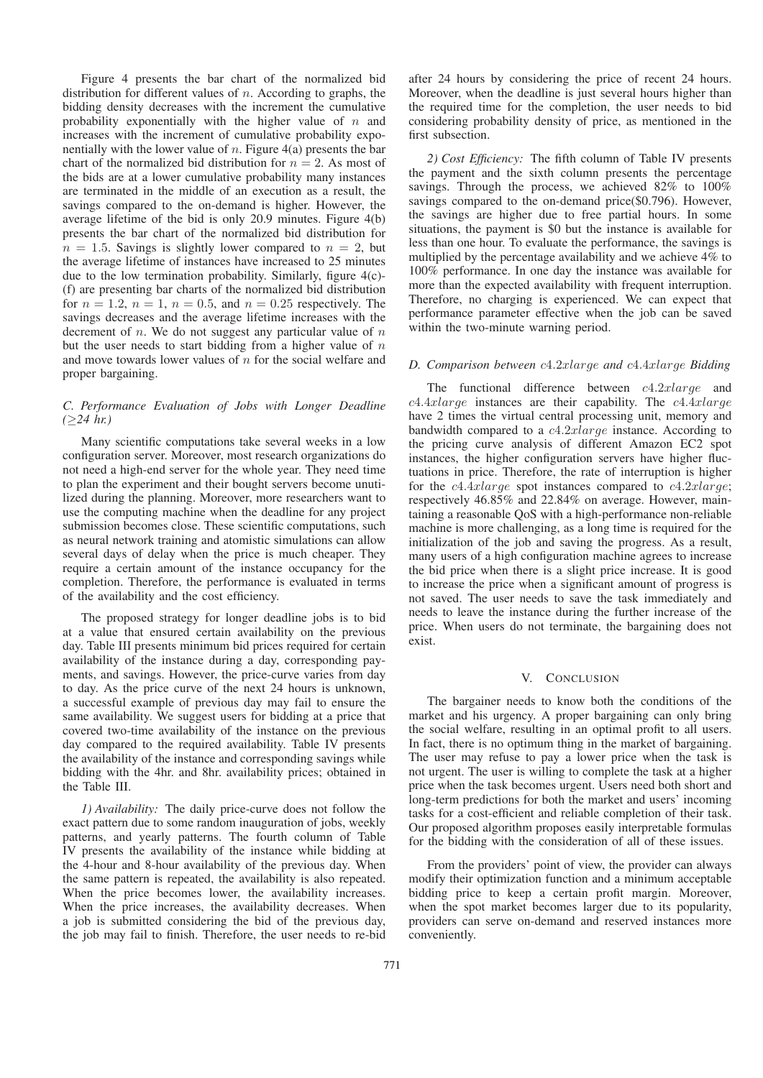Figure 4 presents the bar chart of the normalized bid distribution for different values of  $n$ . According to graphs, the bidding density decreases with the increment the cumulative probability exponentially with the higher value of  $n$  and increases with the increment of cumulative probability exponentially with the lower value of *n*. Figure  $4(a)$  presents the bar chart of the normalized bid distribution for  $n = 2$ . As most of the bids are at a lower cumulative probability many instances are terminated in the middle of an execution as a result, the savings compared to the on-demand is higher. However, the average lifetime of the bid is only 20.9 minutes. Figure 4(b) presents the bar chart of the normalized bid distribution for  $n = 1.5$ . Savings is slightly lower compared to  $n = 2$ , but the average lifetime of instances have increased to 25 minutes due to the low termination probability. Similarly, figure 4(c)- (f) are presenting bar charts of the normalized bid distribution for  $n = 1.2$ ,  $n = 1$ ,  $n = 0.5$ , and  $n = 0.25$  respectively. The savings decreases and the average lifetime increases with the decrement of *n*. We do not suggest any particular value of *n* but the user needs to start bidding from a higher value of  $n$ and move towards lower values of  $n$  for the social welfare and proper bargaining.

# *C. Performance Evaluation of Jobs with Longer Deadline (*≥*24 hr.)*

Many scientific computations take several weeks in a low configuration server. Moreover, most research organizations do not need a high-end server for the whole year. They need time to plan the experiment and their bought servers become unutilized during the planning. Moreover, more researchers want to use the computing machine when the deadline for any project submission becomes close. These scientific computations, such as neural network training and atomistic simulations can allow several days of delay when the price is much cheaper. They require a certain amount of the instance occupancy for the completion. Therefore, the performance is evaluated in terms of the availability and the cost efficiency.

The proposed strategy for longer deadline jobs is to bid at a value that ensured certain availability on the previous day. Table III presents minimum bid prices required for certain availability of the instance during a day, corresponding payments, and savings. However, the price-curve varies from day to day. As the price curve of the next 24 hours is unknown, a successful example of previous day may fail to ensure the same availability. We suggest users for bidding at a price that covered two-time availability of the instance on the previous day compared to the required availability. Table IV presents the availability of the instance and corresponding savings while bidding with the 4hr. and 8hr. availability prices; obtained in the Table III.

*1) Availability:* The daily price-curve does not follow the exact pattern due to some random inauguration of jobs, weekly patterns, and yearly patterns. The fourth column of Table IV presents the availability of the instance while bidding at the 4-hour and 8-hour availability of the previous day. When the same pattern is repeated, the availability is also repeated. When the price becomes lower, the availability increases. When the price increases, the availability decreases. When a job is submitted considering the bid of the previous day, the job may fail to finish. Therefore, the user needs to re-bid

771

after 24 hours by considering the price of recent 24 hours. Moreover, when the deadline is just several hours higher than the required time for the completion, the user needs to bid considering probability density of price, as mentioned in the first subsection.

*2) Cost Efficiency:* The fifth column of Table IV presents the payment and the sixth column presents the percentage savings. Through the process, we achieved 82% to 100% savings compared to the on-demand price(\$0.796). However, the savings are higher due to free partial hours. In some situations, the payment is \$0 but the instance is available for less than one hour. To evaluate the performance, the savings is multiplied by the percentage availability and we achieve 4% to 100% performance. In one day the instance was available for more than the expected availability with frequent interruption. Therefore, no charging is experienced. We can expect that performance parameter effective when the job can be saved within the two-minute warning period.

# *D. Comparison between* c4.2xlarge *and* c4.4xlarge *Bidding*

The functional difference between c4.2xlarge and  $c4.4xlarqe$  instances are their capability. The  $c4.4xlarqe$ have 2 times the virtual central processing unit, memory and bandwidth compared to a c4.2xlarge instance. According to the pricing curve analysis of different Amazon EC2 spot instances, the higher configuration servers have higher fluctuations in price. Therefore, the rate of interruption is higher for the  $c4.4x$ large spot instances compared to  $c4.2x$ large; respectively 46.85% and 22.84% on average. However, maintaining a reasonable QoS with a high-performance non-reliable machine is more challenging, as a long time is required for the initialization of the job and saving the progress. As a result, many users of a high configuration machine agrees to increase the bid price when there is a slight price increase. It is good to increase the price when a significant amount of progress is not saved. The user needs to save the task immediately and needs to leave the instance during the further increase of the price. When users do not terminate, the bargaining does not exist.

# V. CONCLUSION

The bargainer needs to know both the conditions of the market and his urgency. A proper bargaining can only bring the social welfare, resulting in an optimal profit to all users. In fact, there is no optimum thing in the market of bargaining. The user may refuse to pay a lower price when the task is not urgent. The user is willing to complete the task at a higher price when the task becomes urgent. Users need both short and long-term predictions for both the market and users' incoming tasks for a cost-efficient and reliable completion of their task. Our proposed algorithm proposes easily interpretable formulas for the bidding with the consideration of all of these issues.

From the providers' point of view, the provider can always modify their optimization function and a minimum acceptable bidding price to keep a certain profit margin. Moreover, when the spot market becomes larger due to its popularity, providers can serve on-demand and reserved instances more conveniently.